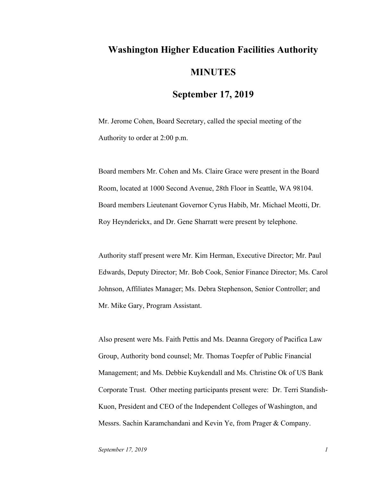## **Washington Higher Education Facilities Authority MINUTES**

## **September 17, 2019**

Mr. Jerome Cohen, Board Secretary, called the special meeting of the Authority to order at 2:00 p.m.

Board members Mr. Cohen and Ms. Claire Grace were present in the Board Room, located at 1000 Second Avenue, 28th Floor in Seattle, WA 98104. Board members Lieutenant Governor Cyrus Habib, Mr. Michael Meotti, Dr. Roy Heynderickx, and Dr. Gene Sharratt were present by telephone.

Authority staff present were Mr. Kim Herman, Executive Director; Mr. Paul Edwards, Deputy Director; Mr. Bob Cook, Senior Finance Director; Ms. Carol Johnson, Affiliates Manager; Ms. Debra Stephenson, Senior Controller; and Mr. Mike Gary, Program Assistant.

Also present were Ms. Faith Pettis and Ms. Deanna Gregory of Pacifica Law Group, Authority bond counsel; Mr. Thomas Toepfer of Public Financial Management; and Ms. Debbie Kuykendall and Ms. Christine Ok of US Bank Corporate Trust. Other meeting participants present were: Dr. Terri Standish-Kuon, President and CEO of the Independent Colleges of Washington, and Messrs. Sachin Karamchandani and Kevin Ye, from Prager & Company.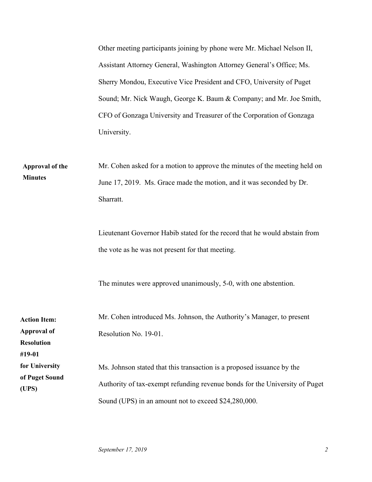|                             | Other meeting participants joining by phone were Mr. Michael Nelson II,     |
|-----------------------------|-----------------------------------------------------------------------------|
|                             | Assistant Attorney General, Washington Attorney General's Office; Ms.       |
|                             | Sherry Mondou, Executive Vice President and CFO, University of Puget        |
|                             | Sound; Mr. Nick Waugh, George K. Baum & Company; and Mr. Joe Smith,         |
|                             | CFO of Gonzaga University and Treasurer of the Corporation of Gonzaga       |
|                             | University.                                                                 |
|                             |                                                                             |
| <b>Approval of the</b>      | Mr. Cohen asked for a motion to approve the minutes of the meeting held on  |
| <b>Minutes</b>              | June 17, 2019. Ms. Grace made the motion, and it was seconded by Dr.        |
|                             | Sharratt.                                                                   |
|                             |                                                                             |
|                             | Lieutenant Governor Habib stated for the record that he would abstain from  |
|                             | the vote as he was not present for that meeting.                            |
|                             |                                                                             |
|                             | The minutes were approved unanimously, 5-0, with one abstention.            |
|                             |                                                                             |
| <b>Action Item:</b>         | Mr. Cohen introduced Ms. Johnson, the Authority's Manager, to present       |
| <b>Approval of</b>          | Resolution No. 19-01.                                                       |
| <b>Resolution</b><br>#19-01 |                                                                             |
| for University              | Ms. Johnson stated that this transaction is a proposed issuance by the      |
| of Puget Sound<br>(UPS)     | Authority of tax-exempt refunding revenue bonds for the University of Puget |
|                             | Sound (UPS) in an amount not to exceed \$24,280,000.                        |
|                             |                                                                             |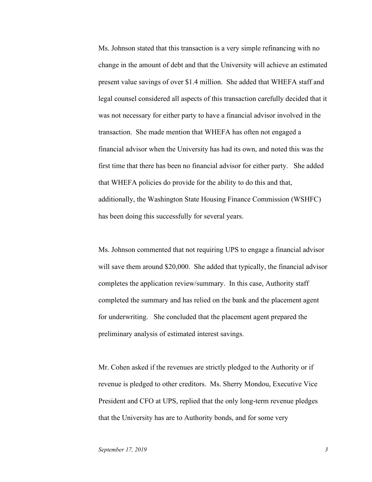Ms. Johnson stated that this transaction is a very simple refinancing with no change in the amount of debt and that the University will achieve an estimated present value savings of over \$1.4 million. She added that WHEFA staff and legal counsel considered all aspects of this transaction carefully decided that it was not necessary for either party to have a financial advisor involved in the transaction. She made mention that WHEFA has often not engaged a financial advisor when the University has had its own, and noted this was the first time that there has been no financial advisor for either party. She added that WHEFA policies do provide for the ability to do this and that, additionally, the Washington State Housing Finance Commission (WSHFC) has been doing this successfully for several years.

Ms. Johnson commented that not requiring UPS to engage a financial advisor will save them around \$20,000. She added that typically, the financial advisor completes the application review/summary. In this case, Authority staff completed the summary and has relied on the bank and the placement agent for underwriting. She concluded that the placement agent prepared the preliminary analysis of estimated interest savings.

Mr. Cohen asked if the revenues are strictly pledged to the Authority or if revenue is pledged to other creditors. Ms. Sherry Mondou, Executive Vice President and CFO at UPS, replied that the only long-term revenue pledges that the University has are to Authority bonds, and for some very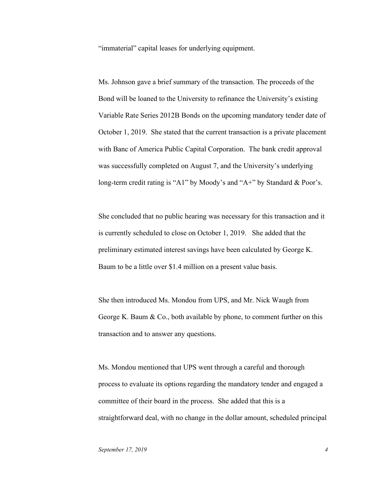"immaterial" capital leases for underlying equipment.

Ms. Johnson gave a brief summary of the transaction. The proceeds of the Bond will be loaned to the University to refinance the University's existing Variable Rate Series 2012B Bonds on the upcoming mandatory tender date of October 1, 2019. She stated that the current transaction is a private placement with Banc of America Public Capital Corporation. The bank credit approval was successfully completed on August 7, and the University's underlying long-term credit rating is "A1" by Moody's and "A+" by Standard & Poor's.

She concluded that no public hearing was necessary for this transaction and it is currently scheduled to close on October 1, 2019. She added that the preliminary estimated interest savings have been calculated by George K. Baum to be a little over \$1.4 million on a present value basis.

She then introduced Ms. Mondou from UPS, and Mr. Nick Waugh from George K. Baum & Co., both available by phone, to comment further on this transaction and to answer any questions.

Ms. Mondou mentioned that UPS went through a careful and thorough process to evaluate its options regarding the mandatory tender and engaged a committee of their board in the process. She added that this is a straightforward deal, with no change in the dollar amount, scheduled principal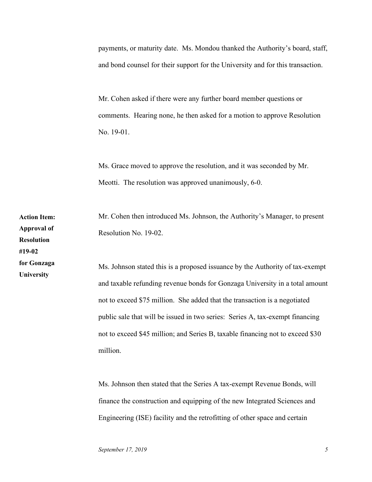payments, or maturity date. Ms. Mondou thanked the Authority's board, staff, and bond counsel for their support for the University and for this transaction.

Mr. Cohen asked if there were any further board member questions or comments. Hearing none, he then asked for a motion to approve Resolution No. 19-01.

Ms. Grace moved to approve the resolution, and it was seconded by Mr. Meotti. The resolution was approved unanimously, 6-0.

Mr. Cohen then introduced Ms. Johnson, the Authority's Manager, to present Resolution No. 19-02. **Action Item: Approval of Resolution #19-02 for Gonzaga** 

Ms. Johnson stated this is a proposed issuance by the Authority of tax-exempt and taxable refunding revenue bonds for Gonzaga University in a total amount not to exceed \$75 million. She added that the transaction is a negotiated public sale that will be issued in two series: Series A, tax-exempt financing not to exceed \$45 million; and Series B, taxable financing not to exceed \$30 million.

Ms. Johnson then stated that the Series A tax-exempt Revenue Bonds, will finance the construction and equipping of the new Integrated Sciences and Engineering (ISE) facility and the retrofitting of other space and certain

**University**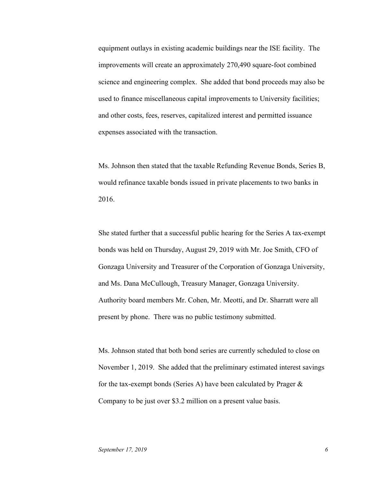equipment outlays in existing academic buildings near the ISE facility. The improvements will create an approximately 270,490 square-foot combined science and engineering complex. She added that bond proceeds may also be used to finance miscellaneous capital improvements to University facilities; and other costs, fees, reserves, capitalized interest and permitted issuance expenses associated with the transaction.

Ms. Johnson then stated that the taxable Refunding Revenue Bonds, Series B, would refinance taxable bonds issued in private placements to two banks in 2016.

She stated further that a successful public hearing for the Series A tax-exempt bonds was held on Thursday, August 29, 2019 with Mr. Joe Smith, CFO of Gonzaga University and Treasurer of the Corporation of Gonzaga University, and Ms. Dana McCullough, Treasury Manager, Gonzaga University. Authority board members Mr. Cohen, Mr. Meotti, and Dr. Sharratt were all present by phone. There was no public testimony submitted.

Ms. Johnson stated that both bond series are currently scheduled to close on November 1, 2019. She added that the preliminary estimated interest savings for the tax-exempt bonds (Series A) have been calculated by Prager & Company to be just over \$3.2 million on a present value basis.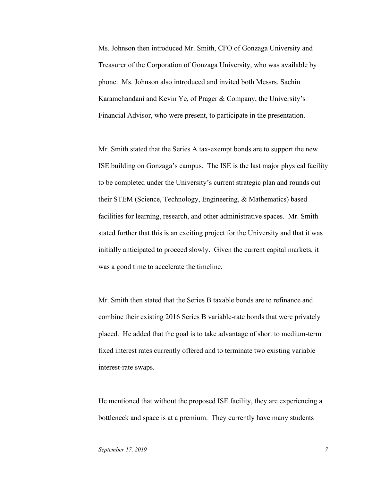Ms. Johnson then introduced Mr. Smith, CFO of Gonzaga University and Treasurer of the Corporation of Gonzaga University, who was available by phone. Ms. Johnson also introduced and invited both Messrs. Sachin Karamchandani and Kevin Ye, of Prager & Company, the University's Financial Advisor, who were present, to participate in the presentation.

Mr. Smith stated that the Series A tax-exempt bonds are to support the new ISE building on Gonzaga's campus. The ISE is the last major physical facility to be completed under the University's current strategic plan and rounds out their STEM (Science, Technology, Engineering, & Mathematics) based facilities for learning, research, and other administrative spaces. Mr. Smith stated further that this is an exciting project for the University and that it was initially anticipated to proceed slowly. Given the current capital markets, it was a good time to accelerate the timeline.

Mr. Smith then stated that the Series B taxable bonds are to refinance and combine their existing 2016 Series B variable-rate bonds that were privately placed. He added that the goal is to take advantage of short to medium-term fixed interest rates currently offered and to terminate two existing variable interest-rate swaps.

He mentioned that without the proposed ISE facility, they are experiencing a bottleneck and space is at a premium. They currently have many students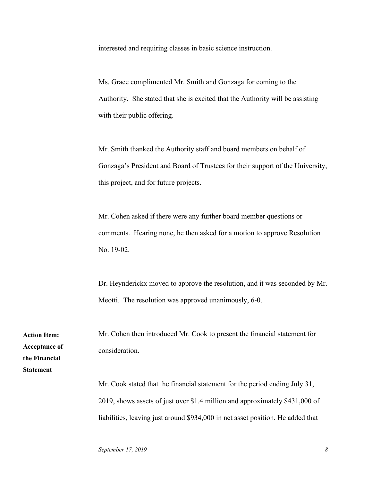interested and requiring classes in basic science instruction.

Ms. Grace complimented Mr. Smith and Gonzaga for coming to the Authority. She stated that she is excited that the Authority will be assisting with their public offering.

Mr. Smith thanked the Authority staff and board members on behalf of Gonzaga's President and Board of Trustees for their support of the University, this project, and for future projects.

Mr. Cohen asked if there were any further board member questions or comments. Hearing none, he then asked for a motion to approve Resolution No. 19-02.

Dr. Heynderickx moved to approve the resolution, and it was seconded by Mr. Meotti. The resolution was approved unanimously, 6-0.

Mr. Cohen then introduced Mr. Cook to present the financial statement for consideration.

Mr. Cook stated that the financial statement for the period ending July 31, 2019, shows assets of just over \$1.4 million and approximately \$431,000 of liabilities, leaving just around \$934,000 in net asset position. He added that

**Action Item: Acceptance of the Financial Statement**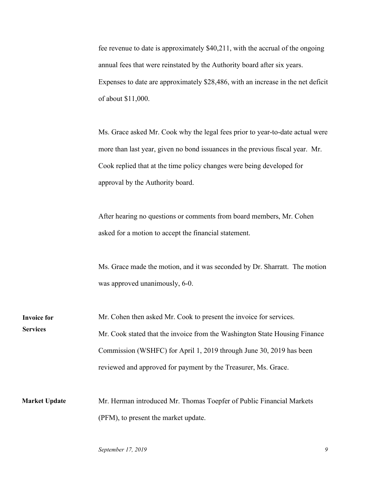fee revenue to date is approximately \$40,211, with the accrual of the ongoing annual fees that were reinstated by the Authority board after six years. Expenses to date are approximately \$28,486, with an increase in the net deficit of about \$11,000.

Ms. Grace asked Mr. Cook why the legal fees prior to year-to-date actual were more than last year, given no bond issuances in the previous fiscal year. Mr. Cook replied that at the time policy changes were being developed for approval by the Authority board.

After hearing no questions or comments from board members, Mr. Cohen asked for a motion to accept the financial statement.

Ms. Grace made the motion, and it was seconded by Dr. Sharratt. The motion was approved unanimously, 6-0.

Mr. Cohen then asked Mr. Cook to present the invoice for services. Mr. Cook stated that the invoice from the Washington State Housing Finance Commission (WSHFC) for April 1, 2019 through June 30, 2019 has been reviewed and approved for payment by the Treasurer, Ms. Grace. **Invoice for Services**

Mr. Herman introduced Mr. Thomas Toepfer of Public Financial Markets (PFM), to present the market update. **Market Update**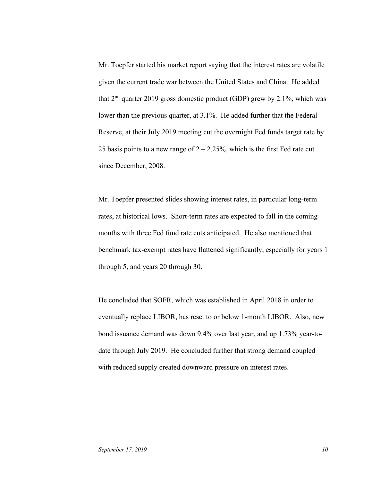Mr. Toepfer started his market report saying that the interest rates are volatile given the current trade war between the United States and China. He added that  $2<sup>nd</sup>$  quarter 2019 gross domestic product (GDP) grew by 2.1%, which was lower than the previous quarter, at 3.1%. He added further that the Federal Reserve, at their July 2019 meeting cut the overnight Fed funds target rate by 25 basis points to a new range of  $2 - 2.25\%$ , which is the first Fed rate cut since December, 2008.

Mr. Toepfer presented slides showing interest rates, in particular long-term rates, at historical lows. Short-term rates are expected to fall in the coming months with three Fed fund rate cuts anticipated. He also mentioned that benchmark tax-exempt rates have flattened significantly, especially for years 1 through 5, and years 20 through 30.

He concluded that SOFR, which was established in April 2018 in order to eventually replace LIBOR, has reset to or below 1-month LIBOR. Also, new bond issuance demand was down 9.4% over last year, and up 1.73% year-todate through July 2019. He concluded further that strong demand coupled with reduced supply created downward pressure on interest rates.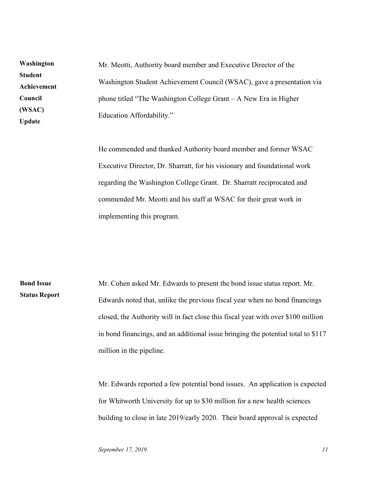Mr. Meotti, Authority board member and Executive Director of the Washington Student Achievement Council (WSAC), gave a presentation via phone titled "The Washington College Grant – A New Era in Higher Education Affordability." **Washington Student Achievement Council (WSAC) Update**

> He commended and thanked Authority board member and former WSAC Executive Director, Dr. Sharratt, for his visionary and foundational work regarding the Washington College Grant. Dr. Sharratt reciprocated and commended Mr. Meotti and his staff at WSAC for their great work in implementing this program.

Mr. Cohen asked Mr. Edwards to present the bond issue status report. Mr. Edwards noted that, unlike the previous fiscal year when no bond financings closed, the Authority will in fact close this fiscal year with over \$100 million in bond financings, and an additional issue bringing the potential total to \$117 million in the pipeline. **Bond Issue Status Report**

> Mr. Edwards reported a few potential bond issues. An application is expected for Whitworth University for up to \$30 million for a new health sciences building to close in late 2019/early 2020. Their board approval is expected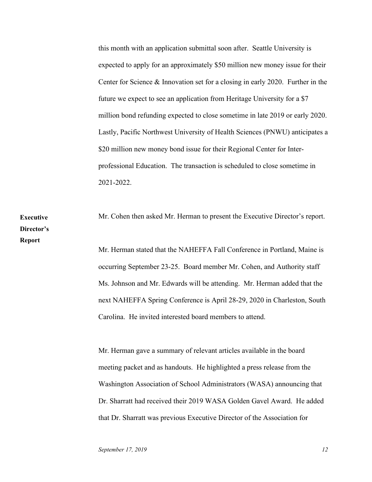this month with an application submittal soon after. Seattle University is expected to apply for an approximately \$50 million new money issue for their Center for Science & Innovation set for a closing in early 2020. Further in the future we expect to see an application from Heritage University for a \$7 million bond refunding expected to close sometime in late 2019 or early 2020. Lastly, Pacific Northwest University of Health Sciences (PNWU) anticipates a \$20 million new money bond issue for their Regional Center for Interprofessional Education. The transaction is scheduled to close sometime in 2021-2022.

Mr. Cohen then asked Mr. Herman to present the Executive Director's report. **Executive Director's Report**

Mr. Herman stated that the NAHEFFA Fall Conference in Portland, Maine is occurring September 23-25. Board member Mr. Cohen, and Authority staff Ms. Johnson and Mr. Edwards will be attending. Mr. Herman added that the next NAHEFFA Spring Conference is April 28-29, 2020 in Charleston, South Carolina. He invited interested board members to attend.

Mr. Herman gave a summary of relevant articles available in the board meeting packet and as handouts. He highlighted a press release from the Washington Association of School Administrators (WASA) announcing that Dr. Sharratt had received their 2019 WASA Golden Gavel Award. He added that Dr. Sharratt was previous Executive Director of the Association for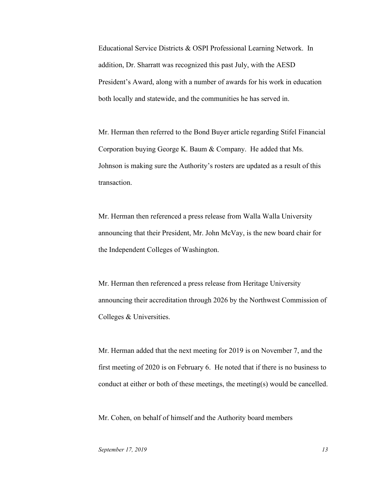Educational Service Districts & OSPI Professional Learning Network. In addition, Dr. Sharratt was recognized this past July, with the AESD President's Award, along with a number of awards for his work in education both locally and statewide, and the communities he has served in.

Mr. Herman then referred to the Bond Buyer article regarding Stifel Financial Corporation buying George K. Baum & Company. He added that Ms. Johnson is making sure the Authority's rosters are updated as a result of this transaction.

Mr. Herman then referenced a press release from Walla Walla University announcing that their President, Mr. John McVay, is the new board chair for the Independent Colleges of Washington.

Mr. Herman then referenced a press release from Heritage University announcing their accreditation through 2026 by the Northwest Commission of Colleges & Universities.

Mr. Herman added that the next meeting for 2019 is on November 7, and the first meeting of 2020 is on February 6. He noted that if there is no business to conduct at either or both of these meetings, the meeting(s) would be cancelled.

Mr. Cohen, on behalf of himself and the Authority board members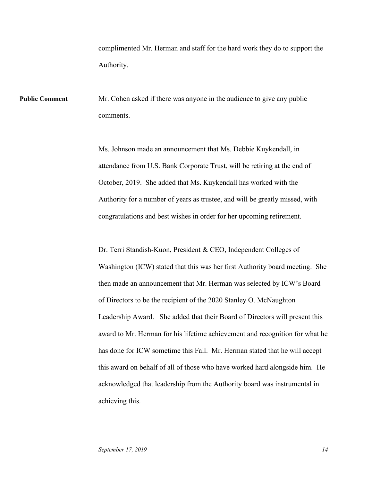complimented Mr. Herman and staff for the hard work they do to support the Authority.

Mr. Cohen asked if there was anyone in the audience to give any public comments. **Public Comment**

> Ms. Johnson made an announcement that Ms. Debbie Kuykendall, in attendance from U.S. Bank Corporate Trust, will be retiring at the end of October, 2019. She added that Ms. Kuykendall has worked with the Authority for a number of years as trustee, and will be greatly missed, with congratulations and best wishes in order for her upcoming retirement.

Dr. Terri Standish-Kuon, President & CEO, Independent Colleges of Washington (ICW) stated that this was her first Authority board meeting. She then made an announcement that Mr. Herman was selected by ICW's Board of Directors to be the recipient of the 2020 Stanley O. McNaughton Leadership Award. She added that their Board of Directors will present this award to Mr. Herman for his lifetime achievement and recognition for what he has done for ICW sometime this Fall. Mr. Herman stated that he will accept this award on behalf of all of those who have worked hard alongside him. He acknowledged that leadership from the Authority board was instrumental in achieving this.